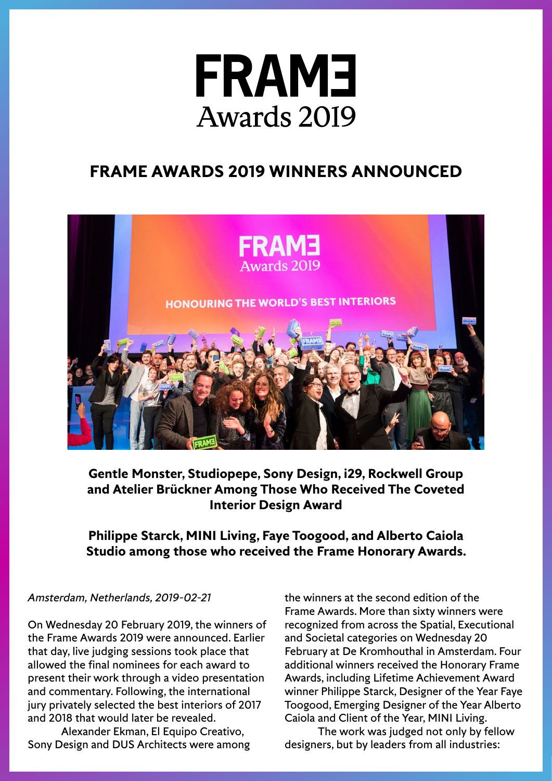

# **FRAME AWARDS 2019 WINNERS ANNOUNCED**



**Gentle Monster, Studiopepe, Sony Design, i29, Rockwell Group and Atelier Brückner Among Those Who Received The Coveted Interior Design Award**

# **Philippe Starck, MINI Living, Faye Toogood, and Alberto Caiola Studio among those who received the Frame Honorary Awards.**

# *Amsterdam, Netherlands, 2019-02-21*

On Wednesday 20 February 2019, the winners of the Frame Awards 2019 were announced. Earlier that day, live judging sessions took place that allowed the final nominees for each award to present their work through a video presentation and commentary. Following, the international jury privately selected the best interiors of 2017 and 2018 that would later be revealed.

Alexander Ekman, El Equipo Creativo, Sony Design and DUS Architects were among the winners at the second edition of the Frame Awards. More than sixty winners were recognized from across the Spatial, Executional and Societal categories on Wednesday 20 February at De Kromhouthal in Amsterdam. Four additional winners received the Honorary Frame Awards, including Lifetime Achievement Award winner Philippe Starck, Designer of the Year Faye Toogood, Emerging Designer of the Year Alberto Caiola and Client of the Year, MINI Living.

The work was judged not only by fellow designers, but by leaders from all industries: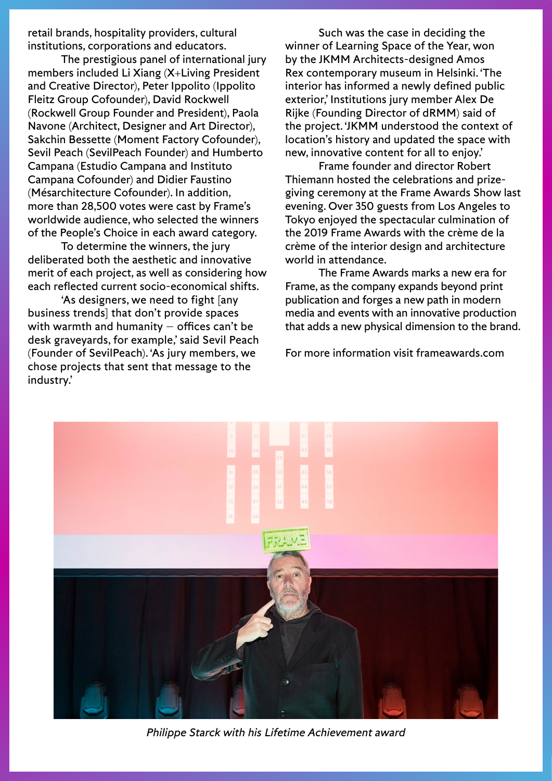retail brands, hospitality providers, cultural institutions, corporations and educators.

The prestigious panel of international jury members included Li Xiang (X+Living President and Creative Director), Peter Ippolito (Ippolito Fleitz Group Cofounder), David Rockwell (Rockwell Group Founder and President), Paola Navone (Architect, Designer and Art Director), Sakchin Bessette (Moment Factory Cofounder), Sevil Peach (SevilPeach Founder) and Humberto Campana (Estudio Campana and Instituto Campana Cofounder) and Didier Faustino (Mésarchitecture Cofounder). In addition, more than 28,500 votes were cast by Frame's worldwide audience, who selected the winners of the People's Choice in each award category.

To determine the winners, the jury deliberated both the aesthetic and innovative merit of each project, as well as considering how each reflected current socio-economical shifts.

'As designers, we need to fight [any business trends] that don't provide spaces with warmth and humanity  $-$  offices can't be desk graveyards, for example,' said Sevil Peach (Founder of SevilPeach). 'As jury members, we chose projects that sent that message to the industry.'

Such was the case in deciding the winner of Learning Space of the Year, won by the JKMM Architects-designed Amos Rex contemporary museum in Helsinki. 'The interior has informed a newly defined public exterior,' Institutions jury member Alex De Rijke (Founding Director of dRMM) said of the project. 'JKMM understood the context of location's history and updated the space with new, innovative content for all to enjoy.'

Frame founder and director Robert Thiemann hosted the celebrations and prizegiving ceremony at the Frame Awards Show last evening. Over 350 guests from Los Angeles to Tokyo enjoyed the spectacular culmination of the 2019 Frame Awards with the crème de la crème of the interior design and architecture world in attendance.

The Frame Awards marks a new era for Frame, as the company expands beyond print publication and forges a new path in modern media and events with an innovative production that adds a new physical dimension to the brand.

For more information visit [frameawards.com](https://www.frameawards.com/)



*Philippe Starck with his Lifetime Achievement award*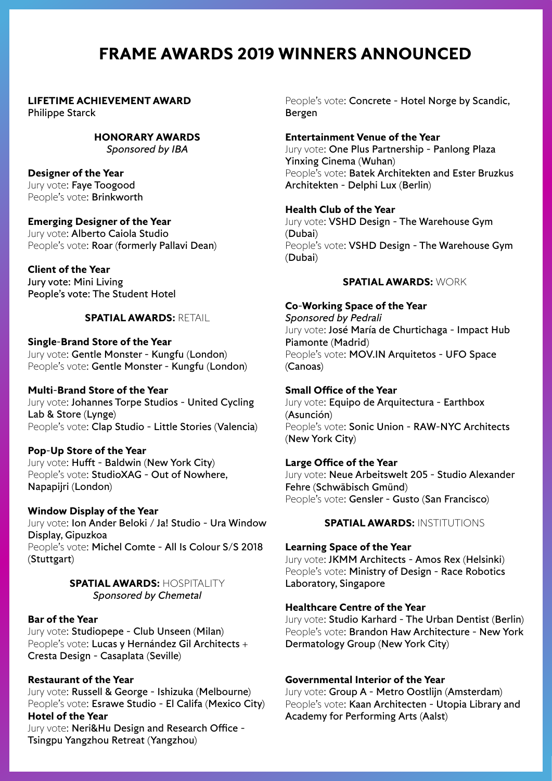# **FRAME AWARDS 2019 WINNERS ANNOUNCED**

#### **LIFETIME ACHIEVEMENT AWARD** Philippe Starck

**HONORARY AWARDS** *Sponsored by IBA*

#### **Designer of the Year** Jury vote: Faye Toogood People's vote: **Brinkworth**

**Emerging Designer of the Year** Jury vote: Alberto Caiola Studio People's vote: Roar (formerly Pallavi Dean)

# **Client of the Year**

Jury vote: Mini Living People's vote: The Student Hotel

### **SPATIAL AWARDS:** RETAIL

**Single-Brand Store of the Year** Jury vote: Gentle Monster - Kungfu (London) People's vote: Gentle Monster - Kungfu (London)

#### **Multi-Brand Store of the Year** Jury vote: Johannes Torpe Studios - United Cycling Lab & Store (Lynge) People's vote: Clap Studio - Little Stories (Valencia)

### **Pop-Up Store of the Year**

Jury vote: Hufft - Baldwin (New York City) People's vote: StudioXAG - Out of Nowhere, Napapijri (London)

### **Window Display of the Year**

Jury vote: Ion Ander Beloki / Ja! Studio - Ura Window Display, Gipuzkoa People's vote: Michel Comte - All Is Colour S/S 2018 (Stuttgart)

### **SPATIAL AWARDS:** HOSPITALITY *Sponsored by Chemetal*

### **Bar of the Year**

Jury vote: Studiopepe - Club Unseen (Milan) People's vote: Lucas y Hernández Gil Architects + Cresta Design - Casaplata (Seville)

# **Restaurant of the Year**

Jury vote: Russell & George - Ishizuka (Melbourne) People's vote: Esrawe Studio - El Califa (Mexico City) **Hotel of the Year**

Jury vote: Neri&Hu Design and Research Office -Tsingpu Yangzhou Retreat (Yangzhou)

People's vote: Concrete - Hotel Norge by Scandic. Bergen

### **Entertainment Venue of the Year**

Jury vote: One Plus Partnership - Panlong Plaza Yinxing Cinema (Wuhan) People's vote: Batek Architekten and Ester Bruzkus Architekten - Delphi Lux (Berlin)

### **Health Club of the Year**

Jury vote: VSHD Design - The Warehouse Gym (Dubai) People's vote: VSHD Design - The Warehouse Gym (Dubai)

### **SPATIAL AWARDS:** WORK

# **Co-Working Space of the Year**

*Sponsored by Pedrali* Jury vote: José María de Churtichaga - Impact Hub Piamonte (Madrid) People's vote: MOV.IN Arquitetos - UFO Space (Canoas)

### **Small Office of the Year**

Jury vote: Equipo de Arquitectura - Earthbox (Asunción) People's vote: Sonic Union - RAW-NYC Architects (New York City)

# **Large Office of the Year**

Jury vote: Neue Arbeitswelt 205 - Studio Alexander Fehre (Schwäbisch Gmünd) People's vote: Gensler - Gusto (San Francisco)

**SPATIAL AWARDS:** INSTITUTIONS

# **Learning Space of the Year**

Jury vote: JKMM Architects - Amos Rex (Helsinki) People's vote: Ministry of Design - Race Robotics Laboratory, Singapore

### **Healthcare Centre of the Year**

Jury vote: Studio Karhard - The Urban Dentist (Berlin) People's vote: Brandon Haw Architecture - New York Dermatology Group (New York City)

### **Governmental Interior of the Year**

Jury vote: Group A - Metro Oostlijn (Amsterdam) People's vote: Kaan Architecten - Utopia Library and Academy for Performing Arts (Aalst)